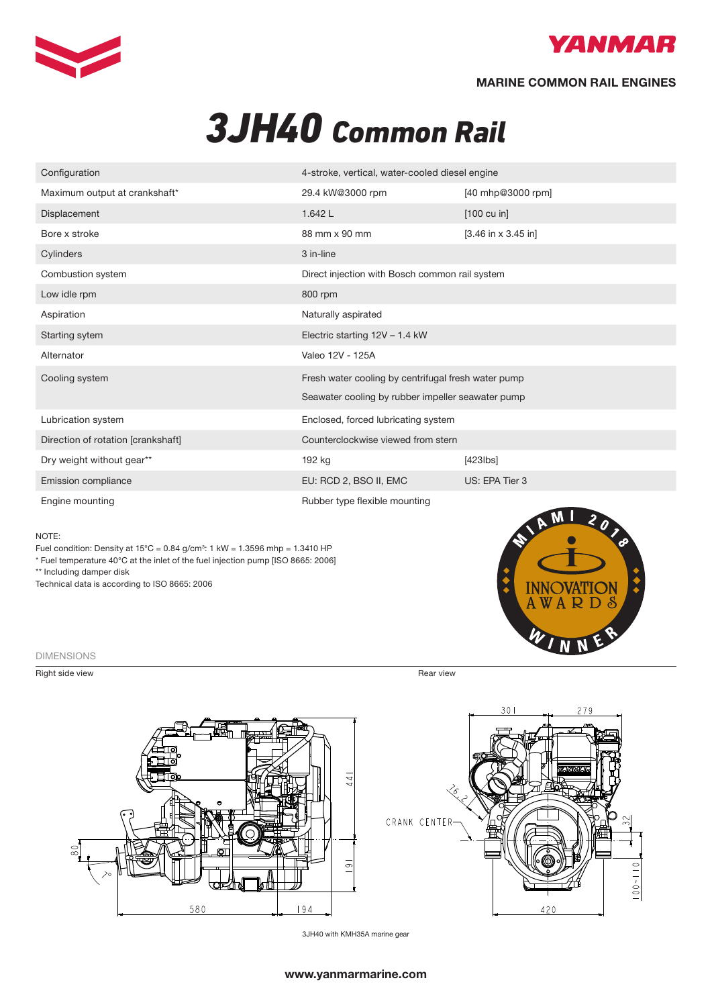



## MARINE COMMON RAIL ENGINES

# *3JH40 Common Rail*

| Configuration                      | 4-stroke, vertical, water-cooled diesel engine      |                       |
|------------------------------------|-----------------------------------------------------|-----------------------|
| Maximum output at crankshaft*      | 29.4 kW@3000 rpm                                    | [40 mhp@3000 rpm]     |
| Displacement                       | 1.642 L                                             | $[100 \text{ cu in}]$ |
| Bore x stroke                      | 88 mm x 90 mm                                       | $[3.46$ in x 3.45 in] |
| Cylinders                          | 3 in-line                                           |                       |
| Combustion system                  | Direct injection with Bosch common rail system      |                       |
| Low idle rpm                       | 800 rpm                                             |                       |
| Aspiration                         | Naturally aspirated                                 |                       |
| Starting sytem                     | Electric starting 12V - 1.4 kW                      |                       |
| Alternator                         | Valeo 12V - 125A                                    |                       |
| Cooling system                     | Fresh water cooling by centrifugal fresh water pump |                       |
|                                    | Seawater cooling by rubber impeller seawater pump   |                       |
| Lubrication system                 | Enclosed, forced lubricating system                 |                       |
| Direction of rotation [crankshaft] | Counterclockwise viewed from stern                  |                       |
| Dry weight without gear**          | 192 kg                                              | $[423$ lbs $]$        |
| Emission compliance                | EU: RCD 2, BSO II, EMC                              | US: EPA Tier 3        |
| Engine mounting                    | Rubber type flexible mounting                       |                       |

#### NOTE:

Fuel condition: Density at  $15^{\circ}$ C = 0.84 g/cm<sup>3</sup>: 1 kW = 1.3596 mhp = 1.3410 HP \* Fuel temperature 40°C at the inlet of the fuel injection pump [ISO 8665: 2006]

\*\* Including damper disk

Technical data is according to ISO 8665: 2006

#### DIMENSIONS

Right side view Rear view Rear view Rear view Rear view Rear view Rear view Rear view Rear view Rear view Rear view Rear view Rear view Rear view Rear view Rear view Rear view Rear view Rear view Rear view Rear view Rear v







3JH40 with KMH35A marine gear

### www.yanmarmarine.com